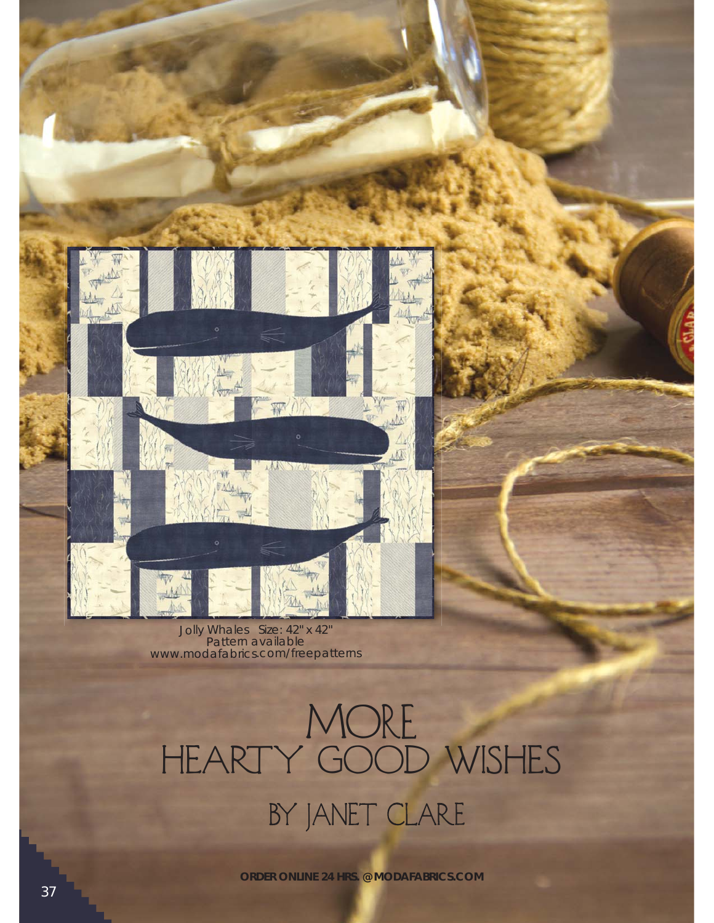

Jolly Whales Size: 42" x 42" Pattern available www.modafabrics.com/freepatterns

## More HEARTY GOOD WISHES BY JANET CLARE

**ORDER ONLINE 24 HRS. @ MODAFABRICS.COM**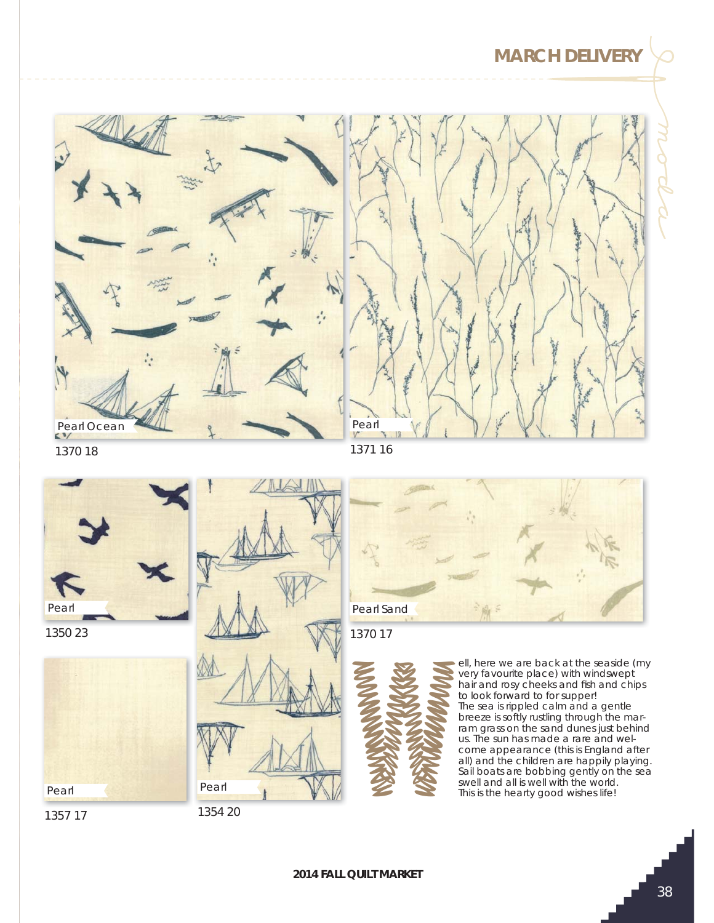## **MARCH DELIVERY**



1370 18



1350 23



Pearl

1354 20







ell, here we are back at the seaside (my very favourite place) with windswept hair and rosy cheeks and fish and chips to look forward to for supper! The sea is rippled calm and a gentle breeze is softly rustling through the marram grass on the sand dunes just behind us. The sun has made a rare and welcome appearance (this is England after all) and the children are happily playing. Sail boats are bobbing gently on the sea swell, here we are back at the seasing with winds were proposed to look forward to for supper!<br>The sea is rippled calm and a gent breeze is softly rustling through the ram grass on the sand dunes just the world.<br>This is th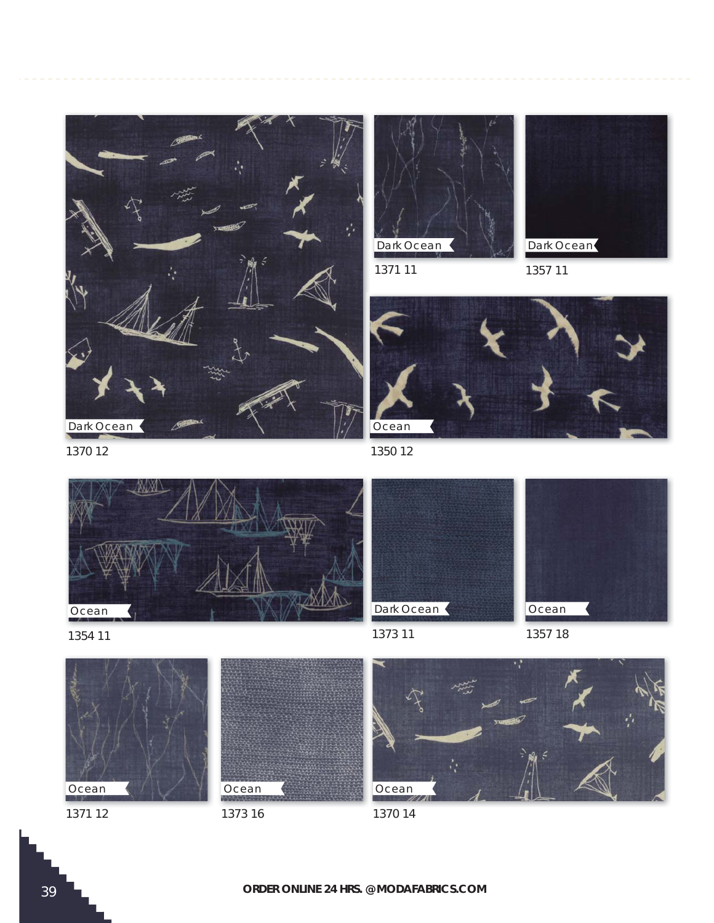



1371 11



1357 11



1370 12







1371 12



1373 16





1373 11



1357 18



1370 14